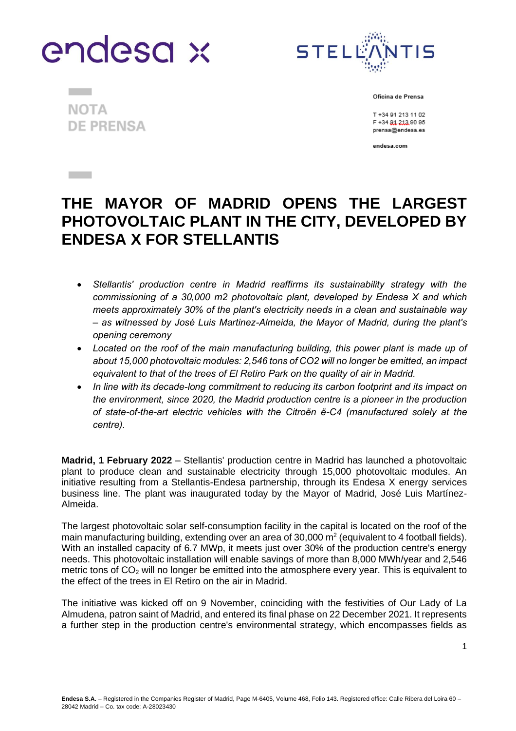



**NOTA DE PRENSA** 

**Contract** 

**Contract** 

Oficina de Prensa

T +34 91 213 11 02 F +34 81 213 90 95 prensa@endesa.es

endesa.com

# **THE MAYOR OF MADRID OPENS THE LARGEST PHOTOVOLTAIC PLANT IN THE CITY, DEVELOPED BY ENDESA X FOR STELLANTIS**

- *Stellantis' production centre in Madrid reaffirms its sustainability strategy with the commissioning of a 30,000 m2 photovoltaic plant, developed by Endesa X and which meets approximately 30% of the plant's electricity needs in a clean and sustainable way – as witnessed by José Luis Martinez-Almeida, the Mayor of Madrid, during the plant's opening ceremony*
- *Located on the roof of the main manufacturing building, this power plant is made up of about 15,000 photovoltaic modules: 2,546 tons of CO2 will no longer be emitted, an impact equivalent to that of the trees of El Retiro Park on the quality of air in Madrid.*
- *In line with its decade-long commitment to reducing its carbon footprint and its impact on the environment, since 2020, the Madrid production centre is a pioneer in the production of state-of-the-art electric vehicles with the Citroën ë-C4 (manufactured solely at the centre).*

**Madrid, 1 February 2022** – Stellantis' production centre in Madrid has launched a photovoltaic plant to produce clean and sustainable electricity through 15,000 photovoltaic modules. An initiative resulting from a Stellantis-Endesa partnership, through its Endesa X energy services business line. The plant was inaugurated today by the Mayor of Madrid, José Luis Martínez-Almeida.

The largest photovoltaic solar self-consumption facility in the capital is located on the roof of the main manufacturing building, extending over an area of 30,000  $m^2$  (equivalent to 4 football fields). With an installed capacity of 6.7 MWp, it meets just over 30% of the production centre's energy needs. This photovoltaic installation will enable savings of more than 8,000 MWh/year and 2,546 metric tons of  $CO<sub>2</sub>$  will no longer be emitted into the atmosphere every year. This is equivalent to the effect of the trees in El Retiro on the air in Madrid.

The initiative was kicked off on 9 November, coinciding with the festivities of Our Lady of La Almudena, patron saint of Madrid, and entered its final phase on 22 December 2021. It represents a further step in the production centre's environmental strategy, which encompasses fields as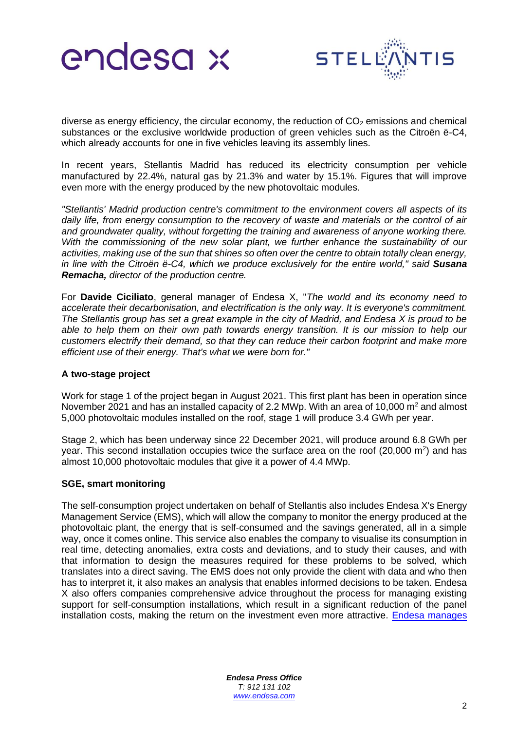



diverse as energy efficiency, the circular economy, the reduction of  $CO<sub>2</sub>$  emissions and chemical substances or the exclusive worldwide production of green vehicles such as the Citroën ë-C4, which already accounts for one in five vehicles leaving its assembly lines.

In recent years, Stellantis Madrid has reduced its electricity consumption per vehicle manufactured by 22.4%, natural gas by 21.3% and water by 15.1%. Figures that will improve even more with the energy produced by the new photovoltaic modules.

*"Stellantis' Madrid production centre's commitment to the environment covers all aspects of its daily life, from energy consumption to the recovery of waste and materials or the control of air and groundwater quality, without forgetting the training and awareness of anyone working there. With the commissioning of the new solar plant, we further enhance the sustainability of our activities, making use of the sun that shines so often over the centre to obtain totally clean energy,*  in line with the Citroën ë-C4, which we produce exclusively for the entire world," said **Susana** *Remacha, director of the production centre.*

For **Davide Ciciliato**, general manager of Endesa X, "*The world and its economy need to accelerate their decarbonisation, and electrification is the only way. It is everyone's commitment. The Stellantis group has set a great example in the city of Madrid, and Endesa X is proud to be*  able to help them on their own path towards energy transition. It is our mission to help our *customers electrify their demand, so that they can reduce their carbon footprint and make more efficient use of their energy. That's what we were born for."*

## **A two-stage project**

Work for stage 1 of the project began in August 2021. This first plant has been in operation since November 2021 and has an installed capacity of 2.2 MWp. With an area of 10,000  $m<sup>2</sup>$  and almost 5,000 photovoltaic modules installed on the roof, stage 1 will produce 3.4 GWh per year.

Stage 2, which has been underway since 22 December 2021, will produce around 6.8 GWh per year. This second installation occupies twice the surface area on the roof (20,000 m<sup>2</sup>) and has almost 10,000 photovoltaic modules that give it a power of 4.4 MWp.

## **SGE, smart monitoring**

The self-consumption project undertaken on behalf of Stellantis also includes Endesa X's Energy Management Service (EMS), which will allow the company to monitor the energy produced at the photovoltaic plant, the energy that is self-consumed and the savings generated, all in a simple way, once it comes online. This service also enables the company to visualise its consumption in real time, detecting anomalies, extra costs and deviations, and to study their causes, and with that information to design the measures required for these problems to be solved, which translates into a direct saving. The EMS does not only provide the client with data and who then has to interpret it, it also makes an analysis that enables informed decisions to be taken. Endesa X also offers companies comprehensive advice throughout the process for managing existing support for self-consumption installations, which result in a significant reduction of the panel installation costs, making the return on the investment even more attractive. [Endesa manages](https://www.endesax.com/es/es/simulador-solar-fotovoltaico) 

> *Endesa Press Office T: 912 131 102 [www.endesa.com](http://www.endesa.com/)*